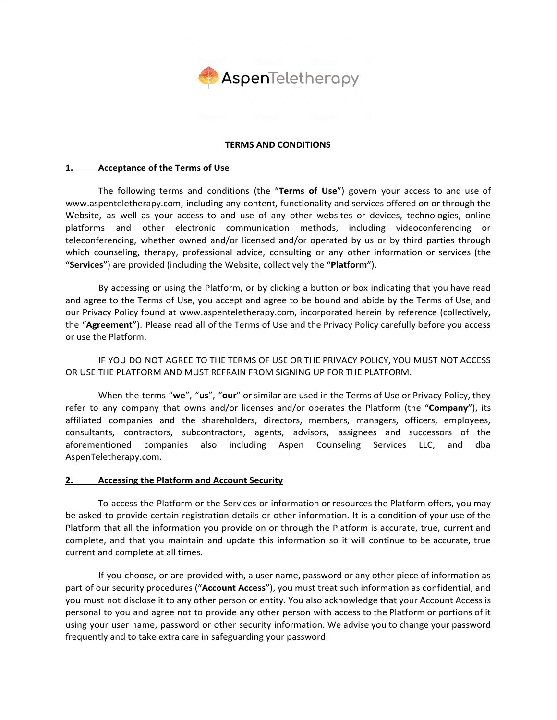

# **TERMS AND CONDITIONS**

#### **1. Acceptance of the Terms of Use**

The following terms and conditions (the "**Terms of Use**") govern your access to and use of www.aspenteletherapy.com, including any content, functionality and services offered on or through the Website, as well as your access to and use of any other websites or devices, technologies, online platforms and other electronic communication methods, including videoconferencing or teleconferencing, whether owned and/or licensed and/or operated by us or by third parties through which counseling, therapy, professional advice, consulting or any other information or services (the "**Services**") are provided (including the Website, collectively the "**Platform**").

By accessing or using the Platform, or by clicking a button or box indicating that you have read and agree to the Terms of Use, you accept and agree to be bound and abide by the Terms of Use, and our Privacy Policy found at www.aspenteletherapy.com, incorporated herein by reference (collectively, the "**Agreement**"). Please read all of the Terms of Use and the Privacy Policy carefully before you access or use the Platform.

IF YOU DO NOT AGREE TO THE TERMS OF USE OR THE PRIVACY POLICY, YOU MUST NOT ACCESS OR USE THE PLATFORM AND MUST REFRAIN FROM SIGNING UP FOR THE PLATFORM.

When the terms "**we**", "**us**", "**our**" or similar are used in the Terms of Use or Privacy Policy, they refer to any company that owns and/or licenses and/or operates the Platform (the "**Company**"), its affiliated companies and the shareholders, directors, members, managers, officers, employees, consultants, contractors, subcontractors, agents, advisors, assignees and successors of the aforementioned companies also including Aspen Counseling Services LLC, and dba AspenTeletherapy.com.

### **2. Accessing the Platform and Account Security**

To access the Platform or the Services or information or resources the Platform offers, you may be asked to provide certain registration details or other information. It is a condition of your use of the Platform that all the information you provide on or through the Platform is accurate, true, current and complete, and that you maintain and update this information so it will continue to be accurate, true current and complete at all times.

If you choose, or are provided with, a user name, password or any other piece of information as part of our security procedures ("**Account Access**"), you must treat such information as confidential, and you must not disclose it to any other person or entity. You also acknowledge that your Account Access is personal to you and agree not to provide any other person with access to the Platform or portions of it using your user name, password or other security information. We advise you to change your password frequently and to take extra care in safeguarding your password.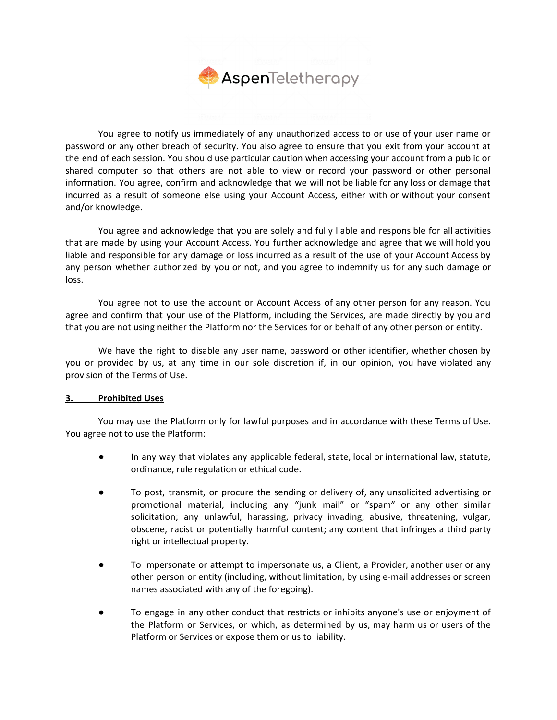

You agree to notify us immediately of any unauthorized access to or use of your user name or password or any other breach of security. You also agree to ensure that you exit from your account at the end of each session. You should use particular caution when accessing your account from a public or shared computer so that others are not able to view or record your password or other personal information. You agree, confirm and acknowledge that we will not be liable for any loss or damage that incurred as a result of someone else using your Account Access, either with or without your consent and/or knowledge.

You agree and acknowledge that you are solely and fully liable and responsible for all activities that are made by using your Account Access. You further acknowledge and agree that we will hold you liable and responsible for any damage or loss incurred as a result of the use of your Account Access by any person whether authorized by you or not, and you agree to indemnify us for any such damage or loss.

You agree not to use the account or Account Access of any other person for any reason. You agree and confirm that your use of the Platform, including the Services, are made directly by you and that you are not using neither the Platform nor the Services for or behalf of any other person or entity.

We have the right to disable any user name, password or other identifier, whether chosen by you or provided by us, at any time in our sole discretion if, in our opinion, you have violated any provision of the Terms of Use.

### **3. Prohibited Uses**

You may use the Platform only for lawful purposes and in accordance with these Terms of Use. You agree not to use the Platform:

- In any way that violates any applicable federal, state, local or international law, statute, ordinance, rule regulation or ethical code.
- To post, transmit, or procure the sending or delivery of, any unsolicited advertising or promotional material, including any "junk mail" or "spam" or any other similar solicitation; any unlawful, harassing, privacy invading, abusive, threatening, vulgar, obscene, racist or potentially harmful content; any content that infringes a third party right or intellectual property.
- To impersonate or attempt to impersonate us, a Client, a Provider, another user or any other person or entity (including, without limitation, by using e-mail addresses or screen names associated with any of the foregoing).
- To engage in any other conduct that restricts or inhibits anyone's use or enjoyment of the Platform or Services, or which, as determined by us, may harm us or users of the Platform or Services or expose them or us to liability.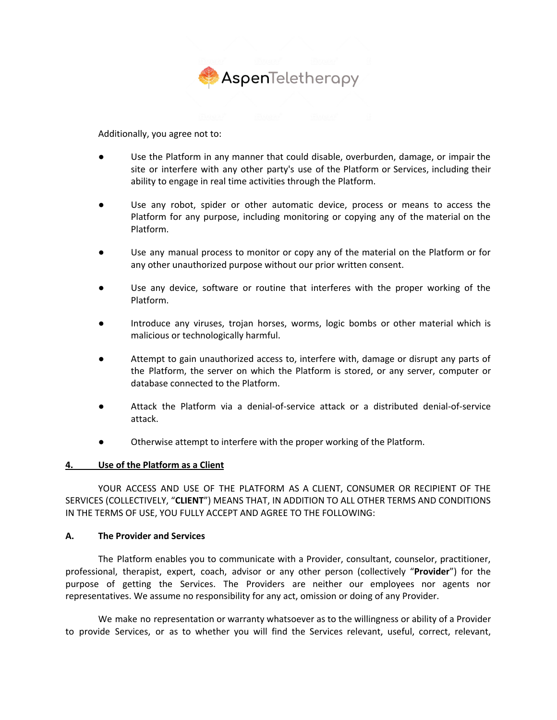

Additionally, you agree not to:

- Use the Platform in any manner that could disable, overburden, damage, or impair the site or interfere with any other party's use of the Platform or Services, including their ability to engage in real time activities through the Platform.
- Use any robot, spider or other automatic device, process or means to access the Platform for any purpose, including monitoring or copying any of the material on the Platform.
- Use any manual process to monitor or copy any of the material on the Platform or for any other unauthorized purpose without our prior written consent.
- Use any device, software or routine that interferes with the proper working of the Platform.
- Introduce any viruses, trojan horses, worms, logic bombs or other material which is malicious or technologically harmful.
- Attempt to gain unauthorized access to, interfere with, damage or disrupt any parts of the Platform, the server on which the Platform is stored, or any server, computer or database connected to the Platform.
- Attack the Platform via a denial-of-service attack or a distributed denial-of-service attack.
- Otherwise attempt to interfere with the proper working of the Platform.

## **4. Use of the Platform as a Client**

YOUR ACCESS AND USE OF THE PLATFORM AS A CLIENT, CONSUMER OR RECIPIENT OF THE SERVICES (COLLECTIVELY, "**CLIENT**") MEANS THAT, IN ADDITION TO ALL OTHER TERMS AND CONDITIONS IN THE TERMS OF USE, YOU FULLY ACCEPT AND AGREE TO THE FOLLOWING:

### **A. The Provider and Services**

The Platform enables you to communicate with a Provider, consultant, counselor, practitioner, professional, therapist, expert, coach, advisor or any other person (collectively "**Provider**") for the purpose of getting the Services. The Providers are neither our employees nor agents nor representatives. We assume no responsibility for any act, omission or doing of any Provider.

We make no representation or warranty whatsoever as to the willingness or ability of a Provider to provide Services, or as to whether you will find the Services relevant, useful, correct, relevant,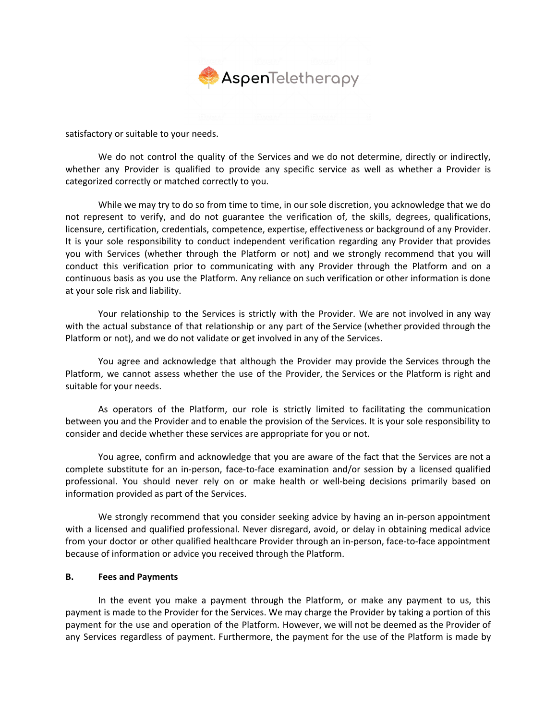

satisfactory or suitable to your needs.

We do not control the quality of the Services and we do not determine, directly or indirectly, whether any Provider is qualified to provide any specific service as well as whether a Provider is categorized correctly or matched correctly to you.

While we may try to do so from time to time, in our sole discretion, you acknowledge that we do not represent to verify, and do not guarantee the verification of, the skills, degrees, qualifications, licensure, certification, credentials, competence, expertise, effectiveness or background of any Provider. It is your sole responsibility to conduct independent verification regarding any Provider that provides you with Services (whether through the Platform or not) and we strongly recommend that you will conduct this verification prior to communicating with any Provider through the Platform and on a continuous basis as you use the Platform. Any reliance on such verification or other information is done at your sole risk and liability.

Your relationship to the Services is strictly with the Provider. We are not involved in any way with the actual substance of that relationship or any part of the Service (whether provided through the Platform or not), and we do not validate or get involved in any of the Services.

You agree and acknowledge that although the Provider may provide the Services through the Platform, we cannot assess whether the use of the Provider, the Services or the Platform is right and suitable for your needs.

As operators of the Platform, our role is strictly limited to facilitating the communication between you and the Provider and to enable the provision of the Services. It is your sole responsibility to consider and decide whether these services are appropriate for you or not.

You agree, confirm and acknowledge that you are aware of the fact that the Services are not a complete substitute for an in-person, face-to-face examination and/or session by a licensed qualified professional. You should never rely on or make health or well-being decisions primarily based on information provided as part of the Services.

We strongly recommend that you consider seeking advice by having an in-person appointment with a licensed and qualified professional. Never disregard, avoid, or delay in obtaining medical advice from your doctor or other qualified healthcare Provider through an in-person, face-to-face appointment because of information or advice you received through the Platform.

### **B. Fees and Payments**

In the event you make a payment through the Platform, or make any payment to us, this payment is made to the Provider for the Services. We may charge the Provider by taking a portion of this payment for the use and operation of the Platform. However, we will not be deemed as the Provider of any Services regardless of payment. Furthermore, the payment for the use of the Platform is made by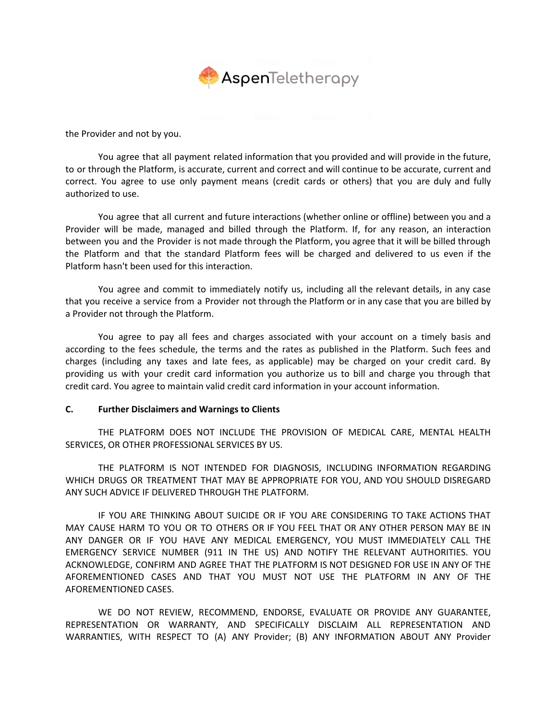

the Provider and not by you.

You agree that all payment related information that you provided and will provide in the future, to or through the Platform, is accurate, current and correct and will continue to be accurate, current and correct. You agree to use only payment means (credit cards or others) that you are duly and fully authorized to use.

You agree that all current and future interactions (whether online or offline) between you and a Provider will be made, managed and billed through the Platform. If, for any reason, an interaction between you and the Provider is not made through the Platform, you agree that it will be billed through the Platform and that the standard Platform fees will be charged and delivered to us even if the Platform hasn't been used for this interaction.

You agree and commit to immediately notify us, including all the relevant details, in any case that you receive a service from a Provider not through the Platform or in any case that you are billed by a Provider not through the Platform.

You agree to pay all fees and charges associated with your account on a timely basis and according to the fees schedule, the terms and the rates as published in the Platform. Such fees and charges (including any taxes and late fees, as applicable) may be charged on your credit card. By providing us with your credit card information you authorize us to bill and charge you through that credit card. You agree to maintain valid credit card information in your account information.

### **C. Further Disclaimers and Warnings to Clients**

THE PLATFORM DOES NOT INCLUDE THE PROVISION OF MEDICAL CARE, MENTAL HEALTH SERVICES, OR OTHER PROFESSIONAL SERVICES BY US.

THE PLATFORM IS NOT INTENDED FOR DIAGNOSIS, INCLUDING INFORMATION REGARDING WHICH DRUGS OR TREATMENT THAT MAY BE APPROPRIATE FOR YOU, AND YOU SHOULD DISREGARD ANY SUCH ADVICE IF DELIVERED THROUGH THE PLATFORM.

IF YOU ARE THINKING ABOUT SUICIDE OR IF YOU ARE CONSIDERING TO TAKE ACTIONS THAT MAY CAUSE HARM TO YOU OR TO OTHERS OR IF YOU FEEL THAT OR ANY OTHER PERSON MAY BE IN ANY DANGER OR IF YOU HAVE ANY MEDICAL EMERGENCY, YOU MUST IMMEDIATELY CALL THE EMERGENCY SERVICE NUMBER (911 IN THE US) AND NOTIFY THE RELEVANT AUTHORITIES. YOU ACKNOWLEDGE, CONFIRM AND AGREE THAT THE PLATFORM IS NOT DESIGNED FOR USE IN ANY OF THE AFOREMENTIONED CASES AND THAT YOU MUST NOT USE THE PLATFORM IN ANY OF THE AFOREMENTIONED CASES.

WE DO NOT REVIEW, RECOMMEND, ENDORSE, EVALUATE OR PROVIDE ANY GUARANTEE, REPRESENTATION OR WARRANTY, AND SPECIFICALLY DISCLAIM ALL REPRESENTATION AND WARRANTIES, WITH RESPECT TO (A) ANY Provider; (B) ANY INFORMATION ABOUT ANY Provider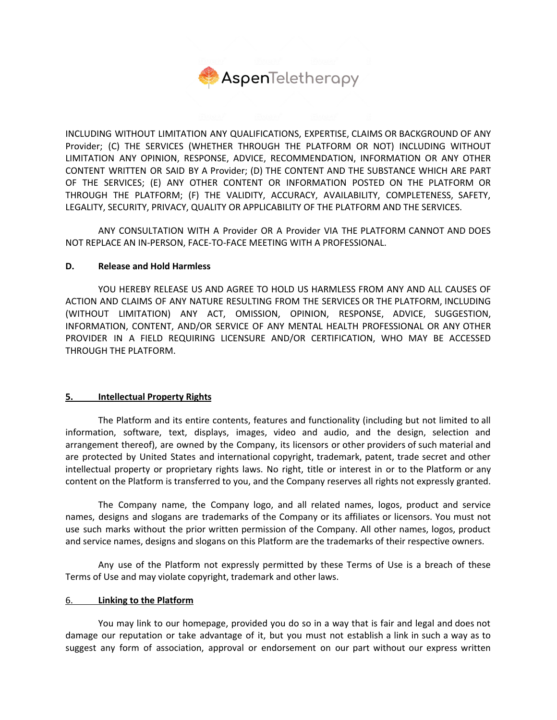

INCLUDING WITHOUT LIMITATION ANY QUALIFICATIONS, EXPERTISE, CLAIMS OR BACKGROUND OF ANY Provider; (C) THE SERVICES (WHETHER THROUGH THE PLATFORM OR NOT) INCLUDING WITHOUT LIMITATION ANY OPINION, RESPONSE, ADVICE, RECOMMENDATION, INFORMATION OR ANY OTHER CONTENT WRITTEN OR SAID BY A Provider; (D) THE CONTENT AND THE SUBSTANCE WHICH ARE PART OF THE SERVICES; (E) ANY OTHER CONTENT OR INFORMATION POSTED ON THE PLATFORM OR THROUGH THE PLATFORM; (F) THE VALIDITY, ACCURACY, AVAILABILITY, COMPLETENESS, SAFETY, LEGALITY, SECURITY, PRIVACY, QUALITY OR APPLICABILITY OF THE PLATFORM AND THE SERVICES.

ANY CONSULTATION WITH A Provider OR A Provider VIA THE PLATFORM CANNOT AND DOES NOT REPLACE AN IN-PERSON, FACE-TO-FACE MEETING WITH A PROFESSIONAL.

## **D. Release and Hold Harmless**

YOU HEREBY RELEASE US AND AGREE TO HOLD US HARMLESS FROM ANY AND ALL CAUSES OF ACTION AND CLAIMS OF ANY NATURE RESULTING FROM THE SERVICES OR THE PLATFORM, INCLUDING (WITHOUT LIMITATION) ANY ACT, OMISSION, OPINION, RESPONSE, ADVICE, SUGGESTION, INFORMATION, CONTENT, AND/OR SERVICE OF ANY MENTAL HEALTH PROFESSIONAL OR ANY OTHER PROVIDER IN A FIELD REQUIRING LICENSURE AND/OR CERTIFICATION, WHO MAY BE ACCESSED THROUGH THE PLATFORM.

## **5. Intellectual Property Rights**

The Platform and its entire contents, features and functionality (including but not limited to all information, software, text, displays, images, video and audio, and the design, selection and arrangement thereof), are owned by the Company, its licensors or other providers of such material and are protected by United States and international copyright, trademark, patent, trade secret and other intellectual property or proprietary rights laws. No right, title or interest in or to the Platform or any content on the Platform is transferred to you, and the Company reserves all rights not expressly granted.

The Company name, the Company logo, and all related names, logos, product and service names, designs and slogans are trademarks of the Company or its affiliates or licensors. You must not use such marks without the prior written permission of the Company. All other names, logos, product and service names, designs and slogans on this Platform are the trademarks of their respective owners.

Any use of the Platform not expressly permitted by these Terms of Use is a breach of these Terms of Use and may violate copyright, trademark and other laws.

## 6. **Linking to the Platform**

You may link to our homepage, provided you do so in a way that is fair and legal and does not damage our reputation or take advantage of it, but you must not establish a link in such a way as to suggest any form of association, approval or endorsement on our part without our express written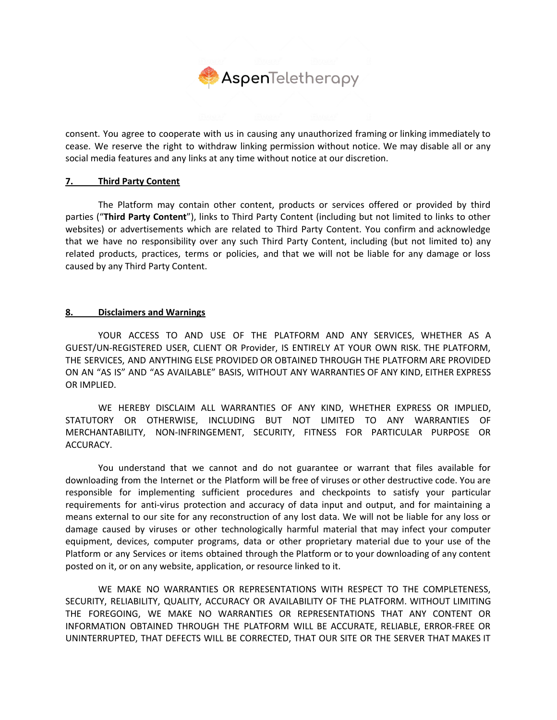

consent. You agree to cooperate with us in causing any unauthorized framing or linking immediately to cease. We reserve the right to withdraw linking permission without notice. We may disable all or any social media features and any links at any time without notice at our discretion.

## **7. Third Party Content**

The Platform may contain other content, products or services offered or provided by third parties ("**Third Party Content**"), links to Third Party Content (including but not limited to links to other websites) or advertisements which are related to Third Party Content. You confirm and acknowledge that we have no responsibility over any such Third Party Content, including (but not limited to) any related products, practices, terms or policies, and that we will not be liable for any damage or loss caused by any Third Party Content.

## **8. Disclaimers and Warnings**

YOUR ACCESS TO AND USE OF THE PLATFORM AND ANY SERVICES, WHETHER AS A GUEST/UN-REGISTERED USER, CLIENT OR Provider, IS ENTIRELY AT YOUR OWN RISK. THE PLATFORM, THE SERVICES, AND ANYTHING ELSE PROVIDED OR OBTAINED THROUGH THE PLATFORM ARE PROVIDED ON AN "AS IS" AND "AS AVAILABLE" BASIS, WITHOUT ANY WARRANTIES OF ANY KIND, EITHER EXPRESS OR IMPLIED.

WE HEREBY DISCLAIM ALL WARRANTIES OF ANY KIND, WHETHER EXPRESS OR IMPLIED, STATUTORY OR OTHERWISE, INCLUDING BUT NOT LIMITED TO ANY WARRANTIES OF MERCHANTABILITY, NON-INFRINGEMENT, SECURITY, FITNESS FOR PARTICULAR PURPOSE OR ACCURACY.

You understand that we cannot and do not guarantee or warrant that files available for downloading from the Internet or the Platform will be free of viruses or other destructive code. You are responsible for implementing sufficient procedures and checkpoints to satisfy your particular requirements for anti-virus protection and accuracy of data input and output, and for maintaining a means external to our site for any reconstruction of any lost data. We will not be liable for any loss or damage caused by viruses or other technologically harmful material that may infect your computer equipment, devices, computer programs, data or other proprietary material due to your use of the Platform or any Services or items obtained through the Platform or to your downloading of any content posted on it, or on any website, application, or resource linked to it.

WE MAKE NO WARRANTIES OR REPRESENTATIONS WITH RESPECT TO THE COMPLETENESS, SECURITY, RELIABILITY, QUALITY, ACCURACY OR AVAILABILITY OF THE PLATFORM. WITHOUT LIMITING THE FOREGOING, WE MAKE NO WARRANTIES OR REPRESENTATIONS THAT ANY CONTENT OR INFORMATION OBTAINED THROUGH THE PLATFORM WILL BE ACCURATE, RELIABLE, ERROR-FREE OR UNINTERRUPTED, THAT DEFECTS WILL BE CORRECTED, THAT OUR SITE OR THE SERVER THAT MAKES IT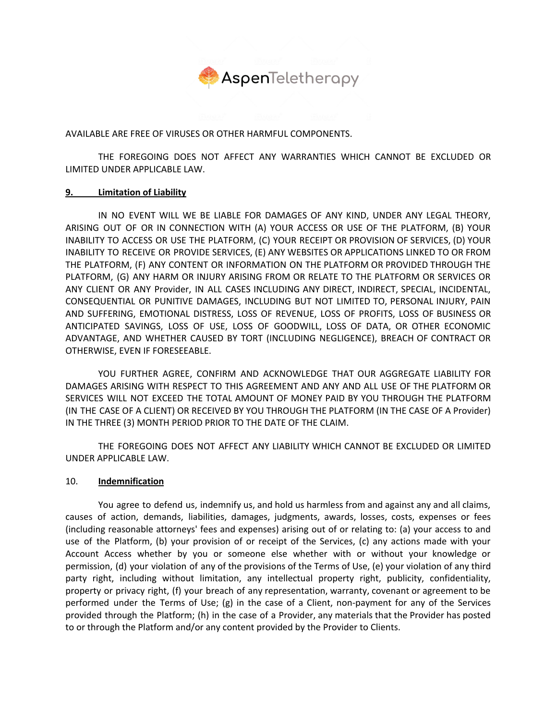

AVAILABLE ARE FREE OF VIRUSES OR OTHER HARMFUL COMPONENTS.

THE FOREGOING DOES NOT AFFECT ANY WARRANTIES WHICH CANNOT BE EXCLUDED OR LIMITED UNDER APPLICABLE LAW.

## **9. Limitation of Liability**

IN NO EVENT WILL WE BE LIABLE FOR DAMAGES OF ANY KIND, UNDER ANY LEGAL THEORY, ARISING OUT OF OR IN CONNECTION WITH (A) YOUR ACCESS OR USE OF THE PLATFORM, (B) YOUR INABILITY TO ACCESS OR USE THE PLATFORM, (C) YOUR RECEIPT OR PROVISION OF SERVICES, (D) YOUR INABILITY TO RECEIVE OR PROVIDE SERVICES, (E) ANY WEBSITES OR APPLICATIONS LINKED TO OR FROM THE PLATFORM, (F) ANY CONTENT OR INFORMATION ON THE PLATFORM OR PROVIDED THROUGH THE PLATFORM, (G) ANY HARM OR INJURY ARISING FROM OR RELATE TO THE PLATFORM OR SERVICES OR ANY CLIENT OR ANY Provider, IN ALL CASES INCLUDING ANY DIRECT, INDIRECT, SPECIAL, INCIDENTAL, CONSEQUENTIAL OR PUNITIVE DAMAGES, INCLUDING BUT NOT LIMITED TO, PERSONAL INJURY, PAIN AND SUFFERING, EMOTIONAL DISTRESS, LOSS OF REVENUE, LOSS OF PROFITS, LOSS OF BUSINESS OR ANTICIPATED SAVINGS, LOSS OF USE, LOSS OF GOODWILL, LOSS OF DATA, OR OTHER ECONOMIC ADVANTAGE, AND WHETHER CAUSED BY TORT (INCLUDING NEGLIGENCE), BREACH OF CONTRACT OR OTHERWISE, EVEN IF FORESEEABLE.

YOU FURTHER AGREE, CONFIRM AND ACKNOWLEDGE THAT OUR AGGREGATE LIABILITY FOR DAMAGES ARISING WITH RESPECT TO THIS AGREEMENT AND ANY AND ALL USE OF THE PLATFORM OR SERVICES WILL NOT EXCEED THE TOTAL AMOUNT OF MONEY PAID BY YOU THROUGH THE PLATFORM (IN THE CASE OF A CLIENT) OR RECEIVED BY YOU THROUGH THE PLATFORM (IN THE CASE OF A Provider) IN THE THREE (3) MONTH PERIOD PRIOR TO THE DATE OF THE CLAIM.

THE FOREGOING DOES NOT AFFECT ANY LIABILITY WHICH CANNOT BE EXCLUDED OR LIMITED UNDER APPLICABLE LAW.

### 10. **Indemnification**

You agree to defend us, indemnify us, and hold us harmless from and against any and all claims, causes of action, demands, liabilities, damages, judgments, awards, losses, costs, expenses or fees (including reasonable attorneys' fees and expenses) arising out of or relating to: (a) your access to and use of the Platform, (b) your provision of or receipt of the Services, (c) any actions made with your Account Access whether by you or someone else whether with or without your knowledge or permission, (d) your violation of any of the provisions of the Terms of Use, (e) your violation of any third party right, including without limitation, any intellectual property right, publicity, confidentiality, property or privacy right, (f) your breach of any representation, warranty, covenant or agreement to be performed under the Terms of Use; (g) in the case of a Client, non-payment for any of the Services provided through the Platform; (h) in the case of a Provider, any materials that the Provider has posted to or through the Platform and/or any content provided by the Provider to Clients.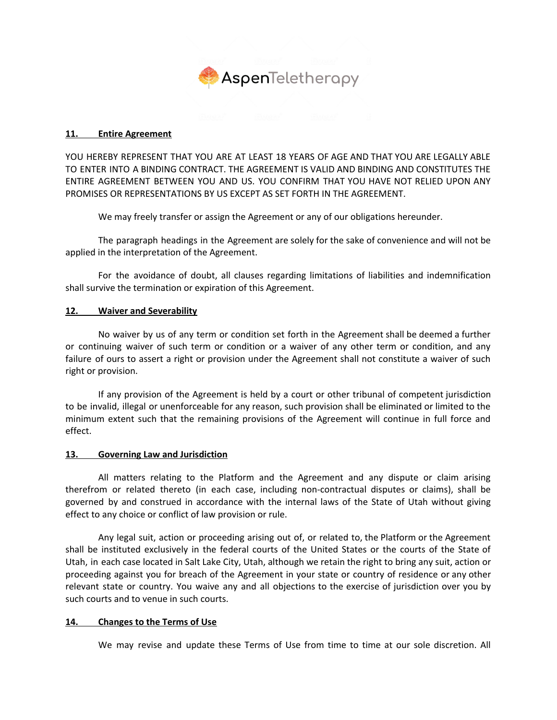

### **11. Entire Agreement**

YOU HEREBY REPRESENT THAT YOU ARE AT LEAST 18 YEARS OF AGE AND THAT YOU ARE LEGALLY ABLE TO ENTER INTO A BINDING CONTRACT. THE AGREEMENT IS VALID AND BINDING AND CONSTITUTES THE ENTIRE AGREEMENT BETWEEN YOU AND US. YOU CONFIRM THAT YOU HAVE NOT RELIED UPON ANY PROMISES OR REPRESENTATIONS BY US EXCEPT AS SET FORTH IN THE AGREEMENT.

We may freely transfer or assign the Agreement or any of our obligations hereunder.

The paragraph headings in the Agreement are solely for the sake of convenience and will not be applied in the interpretation of the Agreement.

For the avoidance of doubt, all clauses regarding limitations of liabilities and indemnification shall survive the termination or expiration of this Agreement.

## **12. Waiver and Severability**

No waiver by us of any term or condition set forth in the Agreement shall be deemed a further or continuing waiver of such term or condition or a waiver of any other term or condition, and any failure of ours to assert a right or provision under the Agreement shall not constitute a waiver of such right or provision.

If any provision of the Agreement is held by a court or other tribunal of competent jurisdiction to be invalid, illegal or unenforceable for any reason, such provision shall be eliminated or limited to the minimum extent such that the remaining provisions of the Agreement will continue in full force and effect.

### **13. Governing Law and Jurisdiction**

All matters relating to the Platform and the Agreement and any dispute or claim arising therefrom or related thereto (in each case, including non-contractual disputes or claims), shall be governed by and construed in accordance with the internal laws of the State of Utah without giving effect to any choice or conflict of law provision or rule.

Any legal suit, action or proceeding arising out of, or related to, the Platform or the Agreement shall be instituted exclusively in the federal courts of the United States or the courts of the State of Utah, in each case located in Salt Lake City, Utah, although we retain the right to bring any suit, action or proceeding against you for breach of the Agreement in your state or country of residence or any other relevant state or country. You waive any and all objections to the exercise of jurisdiction over you by such courts and to venue in such courts.

## **14. Changes to the Terms of Use**

We may revise and update these Terms of Use from time to time at our sole discretion. All